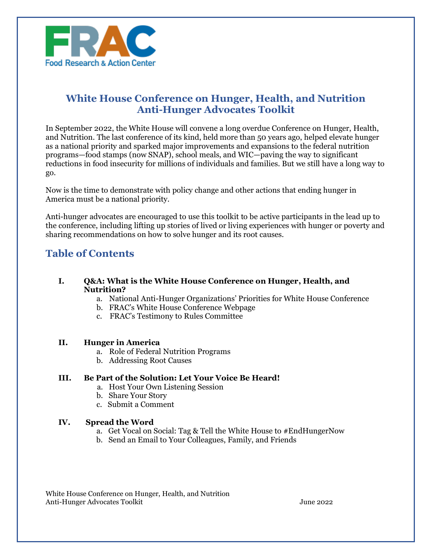

## **White House Conference on Hunger, Health, and Nutrition Anti-Hunger Advocates Toolkit**

In September 2022, the White House will convene a long overdue Conference on Hunger, Health, and Nutrition. The last conference of its kind, held more than 50 years ago, helped elevate hunger as a national priority and sparked major improvements and expansions to the federal nutrition programs—food stamps (now SNAP), school meals, and WIC—paving the way to significant reductions in food insecurity for millions of individuals and families. But we still have a long way to go.

Now is the time to demonstrate with policy change and other actions that ending hunger in America must be a national priority.

Anti-hunger advocates are encouraged to use this toolkit to be active participants in the lead up to the conference, including lifting up stories of lived or living experiences with hunger or poverty and sharing recommendations on how to solve hunger and its root causes.

## **Table of Contents**

### **I. Q&A: What is the White House Conference on Hunger, Health, and Nutrition?**

- a. National Anti-Hunger Organizations' Priorities for White House Conference
- b. FRAC's White House Conference Webpage
- c. FRAC's Testimony to Rules Committee

### **II. Hunger in America**

- a. Role of Federal Nutrition Programs
- b. Addressing Root Causes

### **III. Be Part of the Solution: Let Your Voice Be Heard!**

- a.Host Your Own Listening Session
- b. Share Your Story
- c. Submit a Comment

#### **IV. Spread the Word**

- a. Get Vocal on Social: Tag & Tell the White House to #EndHungerNow
- b. Send an Email to Your Colleagues, Family, and Friends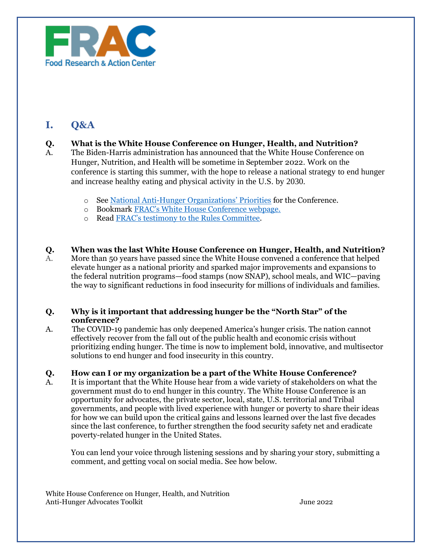

# **I. Q&A**

## **Q. What is the White House Conference on Hunger, Health, and Nutrition?**

A. The Biden-Harris administration has announced that the White House Conference on Hunger, Nutrition, and Health will be sometime in September 2022. Work on the conference is starting this summer, with the hope to release a national strategy to end hunger and increase healthy eating and physical activity in the U.S. by 2030.

- o See National Anti-[Hunger Organizations' Priorities](https://frac.org/wp-content/uploads/Final-WHC-Priorities-public-2.pdf) for the Conference.
- o Bookmark [FRAC's White House Conference webpage](https://frac.org/white-house-conference).
- o Read FRAC's [testimony to the Rules Committee.](https://frac.org/wp-content/uploads/FinalWHCTestimony.pdf)
- **Q. When was the last White House Conference on Hunger, Health, and Nutrition?** A. More than 50 years have passed since the White House convened a conference that helped elevate hunger as a national priority and sparked major improvements and expansions to the federal nutrition programs—food stamps (now SNAP), school meals, and WIC—paving the way to significant reductions in food insecurity for millions of individuals and families.

### **Q. Why is it important that addressing hunger be the "North Star" of the conference?**

A. The COVID-19 pandemic has only deepened America's hunger crisis. The nation cannot effectively recover from the fall out of the public health and economic crisis without prioritizing ending hunger. The time is now to implement bold, innovative, and multisector solutions to end hunger and food insecurity in this country.

### **Q. How can I or my organization be a part of the White House Conference?**

A. It is important that the White House hear from a wide variety of stakeholders on what the government must do to end hunger in this country. The White House Conference is an opportunity for advocates, the private sector, local, state, U.S. territorial and Tribal governments, and people with lived experience with hunger or poverty to share their ideas for how we can build upon the critical gains and lessons learned over the last five decades since the last conference, to further strengthen the food security safety net and eradicate poverty-related hunger in the United States.

You can lend your voice through listening sessions and by sharing your story, submitting a comment, and getting vocal on social media. See how below.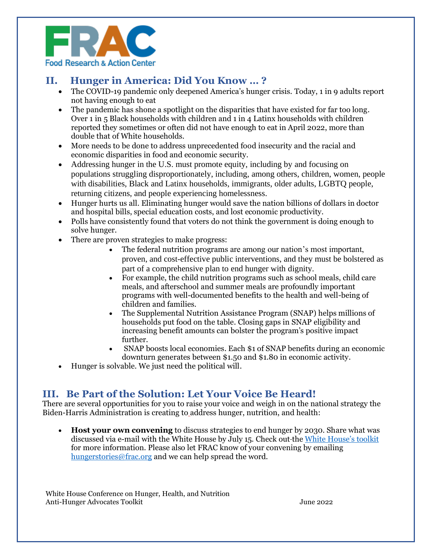

## **II. Hunger in America: Did You Know … ?**

- The COVID-19 pandemic only deepened America's hunger crisis. Today, 1 in 9 adults report not having enough to eat
- The pandemic has shone a spotlight on the disparities that have existed for far too long. Over 1 in 5 Black households with children and 1 in 4 Latinx households with children reported they sometimes or often did not have enough to eat in April 2022, more than double that of White households.
- More needs to be done to address unprecedented food insecurity and the racial and economic disparities in food and economic security.
- Addressing hunger in the U.S. must promote equity, including by and focusing on populations struggling disproportionately, including, among others, children, women, people with disabilities, Black and Latinx households, immigrants, older adults, LGBTQ people, returning citizens, and people experiencing homelessness.
- Hunger hurts us all. Eliminating hunger would save the nation billions of dollars in doctor and hospital bills, special education costs, and lost economic productivity.
- Polls have consistently found that voters do not think the government is doing enough to solve hunger.
- There are proven strategies to make progress:
	- The federal nutrition programs are among our nation's most important, proven, and cost-effective public interventions, and they must be bolstered as part of a comprehensive plan to end hunger with dignity.
	- For example, the child nutrition programs such as school meals, child care meals, and afterschool and summer meals are profoundly important programs with well-documented benefits to the health and well-being of children and families.
	- The Supplemental Nutrition Assistance Program (SNAP) helps millions of households put food on the table. Closing gaps in SNAP eligibility and increasing benefit amounts can bolster the program's positive impact further.
	- SNAP boosts local economies. Each \$1 of SNAP benefits during an economic downturn generates between \$1.50 and \$1.80 in economic activity.
- Hunger is solvable. We just need the political will.

## **III. Be Part of the Solution: Let Your Voice Be Heard!**

There are several opportunities for you to raise your voice and weigh in on the national strategy the Biden-Harris Administration is creating to address hunger, nutrition, and health:

• **Host your own convening** to discuss strategies to end hunger by 2030. Share what was discussed via e-mail with the White House by July 15. Check out the [White House's toolkit](https://health.gov/sites/default/files/2022-06/White%20House%20Tookit%20%282%29.pdf) for more information. Please also let FRAC know of your convening by emailing [hungerstories@frac.org](mailto:hungerstories@frac.org) and we can help spread the word.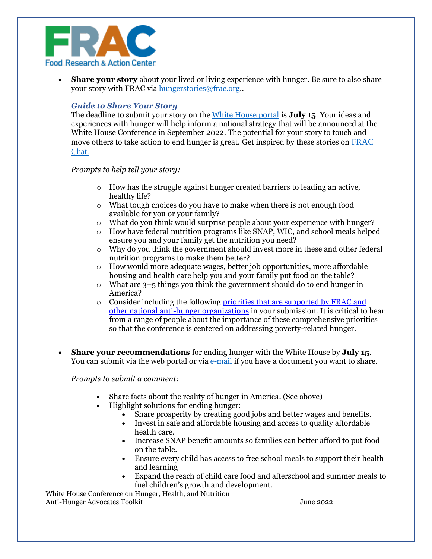

**Share your story** about your lived or living experience with hunger. Be sure to also share your story with FRAC via [hungerstories@frac.org.](mailto:hungerstories@frac.org).

#### *Guide to Share Your Story*

The deadline to submit your story on th[e White House portal](https://health.gov/our-work/nutrition-physical-activity/white-house-conference-hunger-nutrition-and-health/share-your-ideas-and-stories) is **July 15**. Your ideas and experiences with hunger will help inform a national strategy that will be announced at the White House Conference in September 2022. The potential for your story to touch and move others to take action to end hunger is great. Get inspired by these stories on [FRAC](https://frac.org/blog)  [Chat](https://frac.org/blog).

*Prompts to help tell your story:*

- $\circ$  How has the struggle against hunger created barriers to leading an active, healthy life?
- o What tough choices do you have to make when there is not enough food available for you or your family?
- $\circ$  What do you think would surprise people about your experience with hunger?
- o How have federal nutrition programs like SNAP, WIC, and school meals helped ensure you and your family get the nutrition you need?
- o Why do you think the government should invest more in these and other federal nutrition programs to make them better?
- o How would more adequate wages, better job opportunities, more affordable housing and health care help you and your family put food on the table?
- $\circ$  What are 3–5 things you think the government should do to end hunger in America?
- $\circ$  Consider including the following priorities that are supported by FRAC and [other national anti-hunger organizations](https://frac.org/wp-content/uploads/Final-WHC-Priorities-public-2.pdf) in your submission. It is critical to hear from a range of people about the importance of these comprehensive priorities so that the conference is centered on addressing poverty-related hunger.
- **Share your recommendations** for ending hunger with the White House by **July 15**. You can submit via the <u>web [portal](https://health.gov/our-work/nutrition-physical-activity/white-house-conference-hunger-nutrition-and-health/share-your-ideas-and-stories)</u> or via [e-mail](mailto:WHHungerHealth@hhs.gov%20a) if you have a document you want to share.

*Prompts to submit a comment:*

- Share facts about the reality of hunger in America. (See above)
- Highlight solutions for ending hunger:
	- Share prosperity by creating good jobs and better wages and benefits.
	- Invest in safe and affordable housing and access to quality affordable health care.
	- Increase SNAP benefit amounts so families can better afford to put food on the table.
	- Ensure every child has access to free school meals to support their health and learning
	- Expand the reach of child care food and afterschool and summer meals to fuel children's growth and development.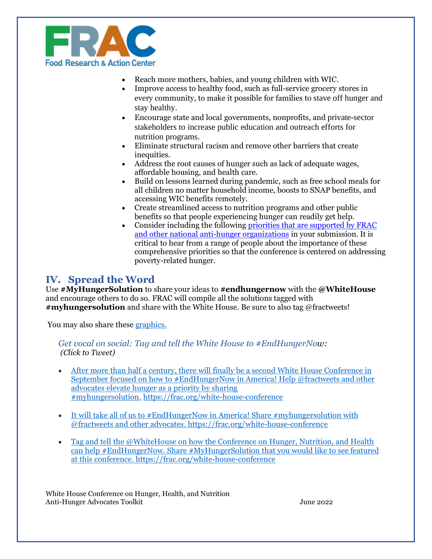

- Reach more mothers, babies, and young children with WIC.
- Improve access to healthy food, such as full-service grocery stores in every community, to make it possible for families to stave off hunger and stay healthy.
- Encourage state and local governments, nonprofits, and private-sector stakeholders to increase public education and outreach efforts for nutrition programs.
- Eliminate structural racism and remove other barriers that create inequities.
- Address the root causes of hunger such as lack of adequate wages, affordable housing, and health care.
- Build on lessons learned during pandemic, such as free school meals for all children no matter household income, boosts to SNAP benefits, and accessing WIC benefits remotely.
- Create streamlined access to nutrition programs and other public benefits so that people experiencing hunger can readily get help.
- Consider including the following priorities that are supported by FRAC [and other national anti-hunger organizations](https://frac.org/wp-content/uploads/Final-WHC-Priorities-public-2.pdf) in your submission. It is critical to hear from a range of people about the importance of these comprehensive priorities so that the conference is centered on addressing poverty-related hunger.

## **IV. Spread the Word**

Use **#MyHungerSolution** to share your ideas to **#endhungernow** with the **@WhiteHouse** and encourage others to do so. FRAC will compile all the solutions tagged with **#myhungersolution** and share with the White House. Be sure to also tag @fractweets!

You may also share these [graphics.](https://www.dropbox.com/sh/r3sgspjwhkaeqy9/AAB2Udi22Y4q8k6-ke63pJ44a?dl=0)

*Get vocal on social: Tag and tell the White House to #EndHungerNow: (Click to Tweet)*

- After more than half a century, there will finally be a second White House [Conference](https://clicktotweet.com/V4O5a) in September focused on how to [#EndHungerNow](https://clicktotweet.com/V4O5a) in America! Help @fractweets and other [advocates](https://clicktotweet.com/V4O5a) elevate hunger as a priority by sharing [#myhungersolution.](https://clicktotweet.com/V4O5a) <https://frac.org/white-house-conference>
- It will take all of us to #EndHungerNow in America! Share [#myhungersolution](https://ctt.ec/5ZdeN) with @fractweets and other advocates. [https://frac.org/white-house-conference](https://ctt.ec/5ZdeN)
- Tag and tell the [@WhiteHouse](https://clicktotweet.com/zH7E3) on how the Conference on Hunger, Nutrition, and Health can help #EndHungerNow. Share [#MyHungerSolution](https://clicktotweet.com/zH7E3) that you would like to see featured at this conference. [https://frac.org/white-house-conference](https://clicktotweet.com/zH7E3)